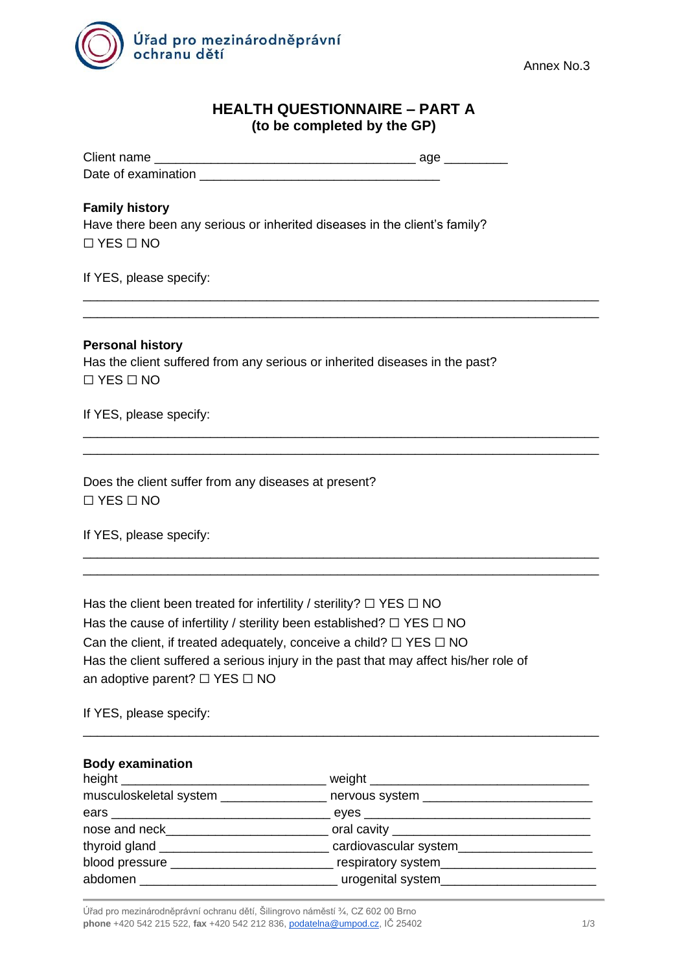

# **HEALTH QUESTIONNAIRE – PART A (to be completed by the GP)**

\_\_\_\_\_\_\_\_\_\_\_\_\_\_\_\_\_\_\_\_\_\_\_\_\_\_\_\_\_\_\_\_\_\_\_\_\_\_\_\_\_\_\_\_\_\_\_\_\_\_\_\_\_\_\_\_\_\_\_\_\_\_\_\_\_\_\_\_\_\_\_\_\_ \_\_\_\_\_\_\_\_\_\_\_\_\_\_\_\_\_\_\_\_\_\_\_\_\_\_\_\_\_\_\_\_\_\_\_\_\_\_\_\_\_\_\_\_\_\_\_\_\_\_\_\_\_\_\_\_\_\_\_\_\_\_\_\_\_\_\_\_\_\_\_\_\_

\_\_\_\_\_\_\_\_\_\_\_\_\_\_\_\_\_\_\_\_\_\_\_\_\_\_\_\_\_\_\_\_\_\_\_\_\_\_\_\_\_\_\_\_\_\_\_\_\_\_\_\_\_\_\_\_\_\_\_\_\_\_\_\_\_\_\_\_\_\_\_\_\_ \_\_\_\_\_\_\_\_\_\_\_\_\_\_\_\_\_\_\_\_\_\_\_\_\_\_\_\_\_\_\_\_\_\_\_\_\_\_\_\_\_\_\_\_\_\_\_\_\_\_\_\_\_\_\_\_\_\_\_\_\_\_\_\_\_\_\_\_\_\_\_\_\_

\_\_\_\_\_\_\_\_\_\_\_\_\_\_\_\_\_\_\_\_\_\_\_\_\_\_\_\_\_\_\_\_\_\_\_\_\_\_\_\_\_\_\_\_\_\_\_\_\_\_\_\_\_\_\_\_\_\_\_\_\_\_\_\_\_\_\_\_\_\_\_\_\_ \_\_\_\_\_\_\_\_\_\_\_\_\_\_\_\_\_\_\_\_\_\_\_\_\_\_\_\_\_\_\_\_\_\_\_\_\_\_\_\_\_\_\_\_\_\_\_\_\_\_\_\_\_\_\_\_\_\_\_\_\_\_\_\_\_\_\_\_\_\_\_\_\_

| Client name         | age |
|---------------------|-----|
| Date of examination |     |

### **Family history**

Have there been any serious or inherited diseases in the client's family? ☐ YES ☐ NO

If YES, please specify:

**Personal history** Has the client suffered from any serious or inherited diseases in the past? ☐ YES ☐ NO

If YES, please specify:

Does the client suffer from any diseases at present? ☐ YES ☐ NO

If YES, please specify:

| Has the client been treated for infertility / sterility? $\Box$ YES $\Box$ NO        |
|--------------------------------------------------------------------------------------|
| Has the cause of infertility / sterility been established? $\Box$ YES $\Box$ NO      |
| Can the client, if treated adequately, conceive a child? $\Box$ YES $\Box$ NO        |
| Has the client suffered a serious injury in the past that may affect his/her role of |
| an adoptive parent? $\Box$ YES $\Box$ NO                                             |

If YES, please specify:

#### **Body examination**

| musculoskeletal system ________________<br>nervous system ________________ |
|----------------------------------------------------------------------------|
|                                                                            |
| _oral cavity ______________________________                                |
|                                                                            |
|                                                                            |
| urogenital system____________________                                      |
|                                                                            |

\_\_\_\_\_\_\_\_\_\_\_\_\_\_\_\_\_\_\_\_\_\_\_\_\_\_\_\_\_\_\_\_\_\_\_\_\_\_\_\_\_\_\_\_\_\_\_\_\_\_\_\_\_\_\_\_\_\_\_\_\_\_\_\_\_\_\_\_\_\_\_\_\_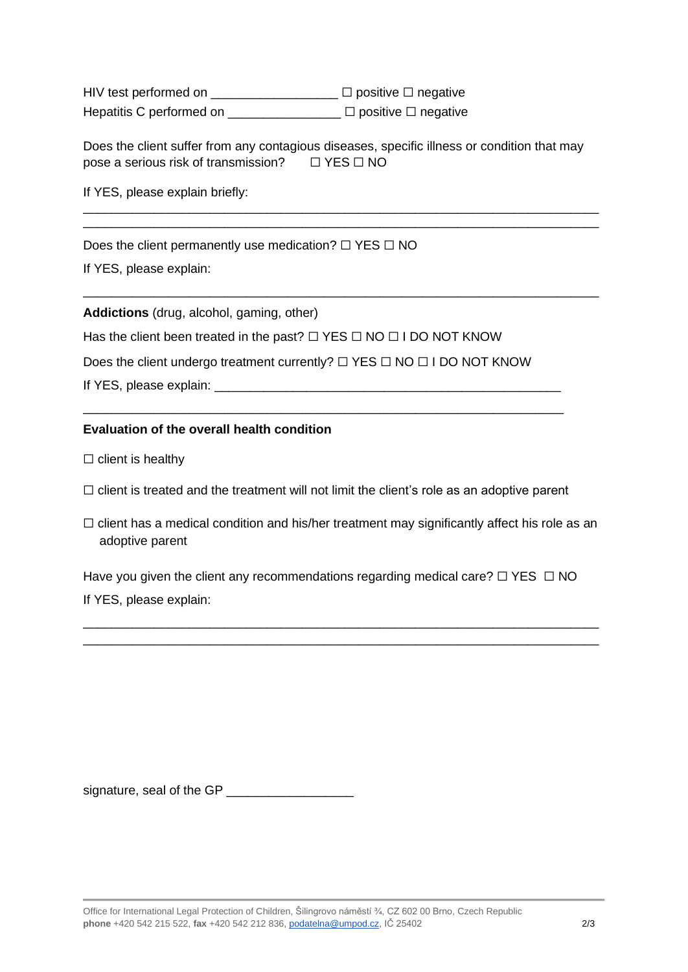HIV test performed on \_\_\_\_\_\_\_\_\_\_\_\_\_\_\_\_\_ □ positive □ negative Hepatitis C performed on  $□$  positive  $□$  negative

Does the client suffer from any contagious diseases, specific illness or condition that may pose a serious risk of transmission? □ YES □ NO

\_\_\_\_\_\_\_\_\_\_\_\_\_\_\_\_\_\_\_\_\_\_\_\_\_\_\_\_\_\_\_\_\_\_\_\_\_\_\_\_\_\_\_\_\_\_\_\_\_\_\_\_\_\_\_\_\_\_\_\_\_\_\_\_\_\_\_\_\_\_\_\_\_ \_\_\_\_\_\_\_\_\_\_\_\_\_\_\_\_\_\_\_\_\_\_\_\_\_\_\_\_\_\_\_\_\_\_\_\_\_\_\_\_\_\_\_\_\_\_\_\_\_\_\_\_\_\_\_\_\_\_\_\_\_\_\_\_\_\_\_\_\_\_\_\_\_

\_\_\_\_\_\_\_\_\_\_\_\_\_\_\_\_\_\_\_\_\_\_\_\_\_\_\_\_\_\_\_\_\_\_\_\_\_\_\_\_\_\_\_\_\_\_\_\_\_\_\_\_\_\_\_\_\_\_\_\_\_\_\_\_\_\_\_\_\_\_\_\_\_

If YES, please explain briefly:

Does the client permanently use medication?  $□$  YES  $□$  NO

If YES, please explain:

**Addictions** (drug, alcohol, gaming, other)

Has the client been treated in the past?  $\Box$  YES  $\Box$  NO  $\Box$  I DO NOT KNOW

Does the client undergo treatment currently? □ YES □ NO □ I DO NOT KNOW

If YES, please explain:

## **Evaluation of the overall health condition**

 $\Box$  client is healthy

 $\Box$  client is treated and the treatment will not limit the client's role as an adoptive parent

\_\_\_\_\_\_\_\_\_\_\_\_\_\_\_\_\_\_\_\_\_\_\_\_\_\_\_\_\_\_\_\_\_\_\_\_\_\_\_\_\_\_\_\_\_\_\_\_\_\_\_\_\_\_\_\_\_\_\_\_\_\_\_\_\_\_\_\_

□ client has a medical condition and his/her treatment may significantly affect his role as an adoptive parent

Have you given the client any recommendations regarding medical care?  $\Box$  YES  $\Box$  NO If YES, please explain:

\_\_\_\_\_\_\_\_\_\_\_\_\_\_\_\_\_\_\_\_\_\_\_\_\_\_\_\_\_\_\_\_\_\_\_\_\_\_\_\_\_\_\_\_\_\_\_\_\_\_\_\_\_\_\_\_\_\_\_\_\_\_\_\_\_\_\_\_\_\_\_\_\_ \_\_\_\_\_\_\_\_\_\_\_\_\_\_\_\_\_\_\_\_\_\_\_\_\_\_\_\_\_\_\_\_\_\_\_\_\_\_\_\_\_\_\_\_\_\_\_\_\_\_\_\_\_\_\_\_\_\_\_\_\_\_\_\_\_\_\_\_\_\_\_\_\_

signature, seal of the GP